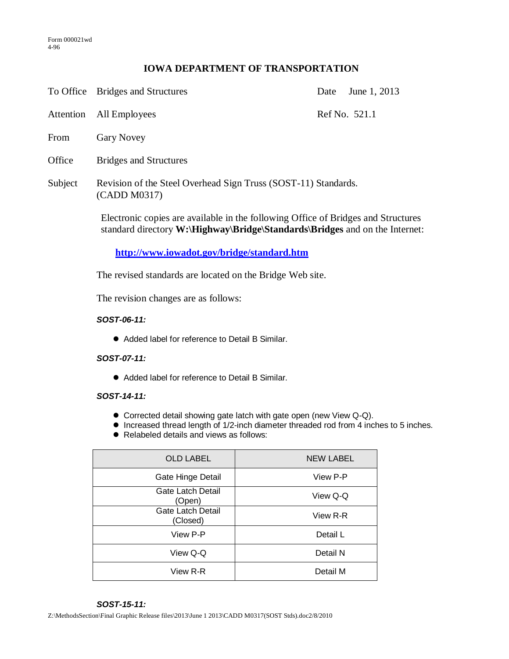# **IOWA DEPARTMENT OF TRANSPORTATION**

To Office Bridges and Structures Date June 1, 2013

Attention All Employees Ref No. 521.1

- From Gary Novey
- Office Bridges and Structures
- Subject Revision of the Steel Overhead Sign Truss (SOST-11) Standards. (CADD M0317)

Electronic copies are available in the following Office of Bridges and Structures standard directory **W:\Highway\Bridge\Standards\Bridges** and on the Internet:

**<http://www.iowadot.gov/bridge/standard.htm>**

The revised standards are located on the Bridge Web site.

The revision changes are as follows:

### *SOST-06-11:*

Added label for reference to Detail B Similar.

#### *SOST-07-11:*

Added label for reference to Detail B Similar.

### *SOST-14-11:*

- Corrected detail showing gate latch with gate open (new View Q-Q).
- Increased thread length of 1/2-inch diameter threaded rod from 4 inches to 5 inches.
- Relabeled details and views as follows:

| <b>OLD LABEL</b>                     | <b>NEW LABEL</b> |
|--------------------------------------|------------------|
| Gate Hinge Detail                    | View P-P         |
| Gate Latch Detail<br>(Open)          | View Q-Q         |
| <b>Gate Latch Detail</b><br>(Closed) | View R-R         |
| View P-P                             | Detail L         |
| View Q-Q                             | Detail N         |
| View R-R                             | Detail M         |

# *SOST-15-11:*

Z:\MethodsSection\Final Graphic Release files\2013\June 1 2013\CADD M0317(SOST Stds).doc2/8/2010